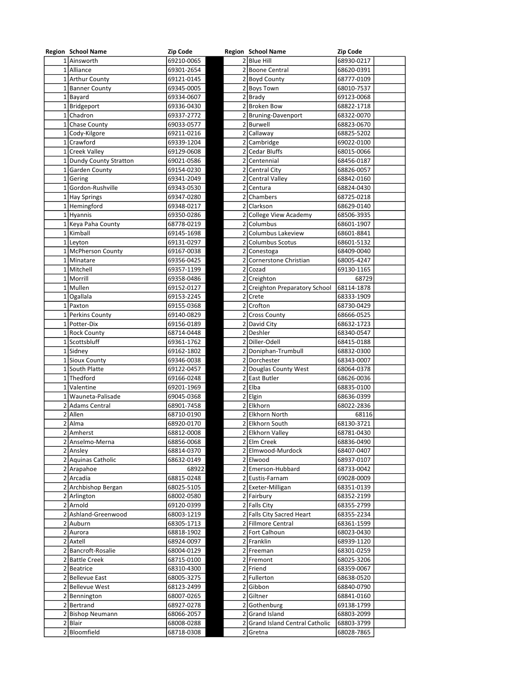| <b>Region School Name</b> | <b>Zip Code</b> | <b>Region School Name</b>       | <b>Zip Code</b> |
|---------------------------|-----------------|---------------------------------|-----------------|
| 1 Ainsworth               | 69210-0065      | 2 Blue Hill                     | 68930-0217      |
| 1 Alliance                | 69301-2654      | 2 Boone Central                 | 68620-0391      |
| 1 Arthur County           | 69121-0145      | 2 Boyd County                   | 68777-0109      |
| 1 Banner County           | 69345-0005      | 2 Boys Town                     | 68010-7537      |
| $1$ Bayard                |                 | $2$ Brady                       |                 |
|                           | 69334-0607      |                                 | 69123-0068      |
| 1 Bridgeport              | 69336-0430      | 2 Broken Bow                    | 68822-1718      |
| 1 Chadron                 | 69337-2772      | 2 Bruning-Davenport             | 68322-0070      |
| 1 Chase County            | 69033-0577      | 2 Burwell                       | 68823-0670      |
| 1 Cody-Kilgore            | 69211-0216      | 2 Callaway                      | 68825-5202      |
| 1 Crawford                | 69339-1204      | 2 Cambridge                     | 69022-0100      |
| 1 Creek Valley            | 69129-0608      | 2 Cedar Bluffs                  | 68015-0066      |
| 1 Dundy County Stratton   | 69021-0586      | 2 Centennial                    | 68456-0187      |
| 1 Garden County           | 69154-0230      | 2 Central City                  | 68826-0057      |
|                           |                 |                                 |                 |
| 1 Gering                  | 69341-2049      | 2 Central Valley                | 68842-0160      |
| 1 Gordon-Rushville        | 69343-0530      | 2 Centura                       | 68824-0430      |
| 1 Hay Springs             | 69347-0280      | 2 Chambers                      | 68725-0218      |
| 1 Hemingford              | 69348-0217      | 2 Clarkson                      | 68629-0140      |
| 1 Hyannis                 | 69350-0286      | 2 College View Academy          | 68506-3935      |
| 1 Keya Paha County        | 68778-0219      | 2 Columbus                      | 68601-1907      |
| 1 Kimball                 | 69145-1698      | 2 Columbus Lakeview             | 68601-8841      |
| $1$ Leyton                | 69131-0297      | 2 Columbus Scotus               | 68601-5132      |
| 1 McPherson County        | 69167-0038      | 2 Conestoga                     | 68409-0040      |
| 1 Minatare                | 69356-0425      | Cornerstone Christian           | 68005-4247      |
| 1 Mitchell                |                 | 2 Cozad                         |                 |
|                           | 69357-1199      |                                 | 69130-1165      |
| 1 Morrill                 | 69358-0486      | 2 Creighton                     | 68729           |
| 1 Mullen                  | 69152-0127      | 2 Creighton Preparatory School  | 68114-1878      |
| $1$ Ogallala              | 69153-2245      | $2$ Crete                       | 68333-1909      |
| 1 Paxton                  | 69155-0368      | 2 Crofton                       | 68730-0429      |
| 1 Perkins County          | 69140-0829      | 2 Cross County                  | 68666-0525      |
| 1 Potter-Dix              | 69156-0189      | 2 David City                    | 68632-1723      |
| 1 Rock County             | 68714-0448      | 2Deshler                        | 68340-0547      |
| 1 Scottsbluff             | 69361-1762      | 2 Diller-Odell                  | 68415-0188      |
| 1 Sidney                  | 69162-1802      | 2 Doniphan-Trumbull             | 68832-0300      |
|                           |                 |                                 |                 |
| 1 Sioux County            | 69346-0038      | 2 Dorchester                    | 68343-0007      |
| 1 South Platte            | 69122-0457      | 2 Douglas County West           | 68064-0378      |
| 1 Thedford                | 69166-0248      | 2 East Butler                   | 68626-0036      |
| 1 Valentine               | 69201-1969      | $2$ Elba                        | 68835-0100      |
| 1 Wauneta-Palisade        | 69045-0368      | $2$  Elgin                      | 68636-0399      |
| 2 Adams Central           | 68901-7458      | 2 Elkhorn                       | 68022-2836      |
| $2$ Allen                 | 68710-0190      | 2 Elkhorn North                 | 68116           |
| 2 Alma                    | 68920-0170      | 2 Elkhorn South                 | 68130-3721      |
| 2 Amherst                 | 68812-0008      | 2 Elkhorn Valley                | 68781-0430      |
| 2   Anselmo-Merna         | 68856-0068      | 2 Elm Creek                     | 68836-0490      |
|                           |                 |                                 |                 |
| 2 Ansley                  | 68814-0370      | 2 Elmwood-Murdock               | 68407-0407      |
| 2 Aquinas Catholic        | 68632-0149      | 2 Elwood                        | 68937-0107      |
| 2 Arapahoe                | 68922           | 2 Emerson-Hubbard               | 68733-0042      |
| 2 Arcadia                 | 68815-0248      | 2 Eustis-Farnam                 | 69028-0009      |
| 2 Archbishop Bergan       | 68025-5105      | 2 Exeter-Milligan               | 68351-0139      |
| 2 Arlington               | 68002-0580      | 2 Fairbury                      | 68352-2199      |
| 2 Arnold                  | 69120-0399      | 2 Falls City                    | 68355-2799      |
| 2 Ashland-Greenwood       | 68003-1219      | 2 Falls City Sacred Heart       | 68355-2234      |
| 2 Auburn                  | 68305-1713      | 2 Fillmore Central              | 68361-1599      |
| 2 Aurora                  | 68818-1902      | 2 Fort Calhoun                  | 68023-0430      |
| 2 Axtell                  | 68924-0097      | 2 Franklin                      | 68939-1120      |
|                           |                 |                                 |                 |
| 2 Bancroft-Rosalie        | 68004-0129      | 2 Freeman                       | 68301-0259      |
| 2 Battle Creek            | 68715-0100      | 2 Fremont                       | 68025-3206      |
| 2 Beatrice                | 68310-4300      | 2 Friend                        | 68359-0067      |
| 2 Bellevue East           | 68005-3275      | 2 Fullerton                     | 68638-0520      |
| 2 Bellevue West           | 68123-2499      | 2 Gibbon                        | 68840-0790      |
| $2$ Bennington            | 68007-0265      | 2 Giltner                       | 68841-0160      |
| 2 Bertrand                | 68927-0278      | 2 Gothenburg                    | 69138-1799      |
| 2 Bishop Neumann          | 68066-2057      | 2 Grand Island                  | 68803-2099      |
| 2 Blair                   | 68008-0288      | 2 Grand Island Central Catholic | 68803-3799      |
|                           |                 |                                 |                 |
| 2 Bloomfield              | 68718-0308      | 2 Gretna                        | 68028-7865      |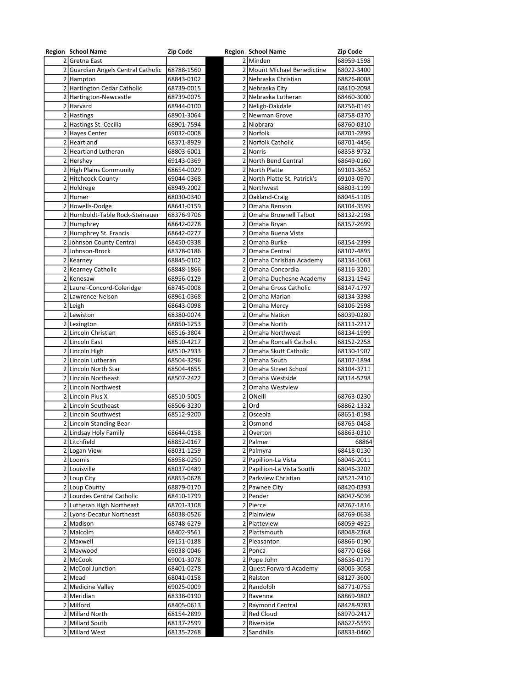| <b>Region School Name</b>          | <b>Zip Code</b> |                | <b>Region School Name</b>       | <b>Zip Code</b> |
|------------------------------------|-----------------|----------------|---------------------------------|-----------------|
| 2 Gretna East                      |                 |                | 2 Minden                        | 68959-1598      |
| 2 Guardian Angels Central Catholic | 68788-1560      |                | 2 Mount Michael Benedictine     | 68022-3400      |
| 2 Hampton                          | 68843-0102      |                | 2 Nebraska Christian            | 68826-8008      |
| 2 Hartington Cedar Catholic        | 68739-0015      |                | 2 Nebraska City                 | 68410-2098      |
| 2 Hartington-Newcastle             | 68739-0075      |                | 2 Nebraska Lutheran             | 68460-3000      |
| 2 Harvard                          | 68944-0100      |                | 2 Neligh-Oakdale                | 68756-0149      |
| 2 Hastings                         | 68901-3064      |                | 2 Newman Grove                  | 68758-0370      |
| 2 Hastings St. Cecilia             | 68901-7594      |                | 2 Niobrara                      | 68760-0310      |
| 2 Hayes Center                     | 69032-0008      |                | 2 Norfolk                       | 68701-2899      |
| 2 Heartland                        | 68371-8929      |                | 2 Norfolk Catholic              | 68701-4456      |
| 2 Heartland Lutheran               | 68803-6001      |                | 2 Norris                        | 68358-9732      |
| 2 Hershey                          | 69143-0369      |                | 2 North Bend Central            | 68649-0160      |
| 2 High Plains Community            | 68654-0029      |                | 2 North Platte                  | 69101-3652      |
| 2 Hitchcock County                 | 69044-0368      |                | 2 North Platte St. Patrick's    | 69103-0970      |
| 2 Holdrege                         | 68949-2002      |                | 2 Northwest                     | 68803-1199      |
| 2 Homer                            | 68030-0340      |                | 2 Oakland-Craig                 | 68045-1105      |
| 2 Howells-Dodge                    | 68641-0159      | 2              | Omaha Benson                    | 68104-3599      |
| 2 Humboldt-Table Rock-Steinauer    | 68376-9706      |                | 2 Omaha Brownell Talbot         | 68132-2198      |
| 2 Humphrey                         | 68642-0278      |                | 2 Omaha Bryan                   | 68157-2699      |
| 2 Humphrey St. Francis             | 68642-0277      |                | 2 Omaha Buena Vista             |                 |
| 2 Johnson County Central           | 68450-0338      | 2              | Omaha Burke                     | 68154-2399      |
| 2 Johnson-Brock                    | 68378-0186      |                | 2 Omaha Central                 | 68102-4895      |
| 2 Kearney                          | 68845-0102      |                | 2 Omaha Christian Academy       | 68134-1063      |
| 2 Kearney Catholic                 | 68848-1866      |                | 2 Omaha Concordia               | 68116-3201      |
| 2 Kenesaw                          | 68956-0129      |                | 2 Omaha Duchesne Academy        | 68131-1945      |
| 2 Laurel-Concord-Coleridge         |                 |                | 2 Omaha Gross Catholic          |                 |
| 2 Lawrence-Nelson                  | 68745-0008      |                | 2 Omaha Marian                  | 68147-1797      |
|                                    | 68961-0368      |                |                                 | 68134-3398      |
| 2 Leigh                            | 68643-0098      |                | 2 Omaha Mercy                   | 68106-2598      |
| 2 Lewiston                         | 68380-0074      |                | 2 Omaha Nation<br>210maha North | 68039-0280      |
| 2 Lexington                        | 68850-1253      |                |                                 | 68111-2217      |
| 2 Lincoln Christian                | 68516-3804      |                | 2 Omaha Northwest               | 68134-1999      |
| 2 Lincoln East                     | 68510-4217      |                | 2 Omaha Roncalli Catholic       | 68152-2258      |
| 2 Lincoln High                     | 68510-2933      |                | 2 Omaha Skutt Catholic          | 68130-1907      |
| 2 Lincoln Lutheran                 | 68504-3296      |                | 2 Omaha South                   | 68107-1894      |
| 2 Lincoln North Star               | 68504-4655      |                | 2 Omaha Street School           | 68104-3711      |
| 2 Lincoln Northeast                | 68507-2422      |                | 2 Omaha Westside                | 68114-5298      |
| 2 Lincoln Northwest                |                 |                | 2 Omaha Westview                |                 |
| 2 Lincoln Pius X                   | 68510-5005      | 2              | ONeill                          | 68763-0230      |
| 2 Lincoln Southeast                | 68506-3230      |                | $2$ Ord                         | 68862-1332      |
| 2 Lincoln Southwest                | 68512-9200      |                | 2 Osceola                       | 68651-0198      |
| 2 Lincoln Standing Bear            |                 | 2              | Osmond                          | 68765-0458      |
| 2 Lindsay Holy Family              | 68644-0158      | $\overline{2}$ | Overton                         | 68863-0310      |
| 2 Litchfield                       | 68852-0167      |                | 2 Palmer                        | 68864           |
| 2 Logan View                       | 68031-1259      |                | 2 Palmyra                       | 68418-0130      |
| 2 Loomis                           | 68958-0250      |                | 2 Papillion-La Vista            | 68046-2011      |
| 2 Louisville                       | 68037-0489      |                | 2 Papillion-La Vista South      | 68046-3202      |
| 2 Loup City                        | 68853-0628      |                | 2 Parkview Christian            | 68521-2410      |
| 2 Loup County                      | 68879-0170      |                | 2 Pawnee City                   | 68420-0393      |
| 2 Lourdes Central Catholic         | 68410-1799      |                | 2 Pender                        | 68047-5036      |
| 2 Lutheran High Northeast          | 68701-3108      |                | 2 Pierce                        | 68767-1816      |
| 2 Lyons-Decatur Northeast          | 68038-0526      |                | 2 Plainview                     | 68769-0638      |
| 2 Madison                          | 68748-6279      |                | 2 Platteview                    | 68059-4925      |
| 2   Malcolm                        | 68402-9561      |                | 2 Plattsmouth                   | 68048-2368      |
| 2 Maxwell                          | 69151-0188      |                | 2 Pleasanton                    | 68866-0190      |
| 2 Maywood                          | 69038-0046      |                | $2$  Ponca                      | 68770-0568      |
| 2 McCook                           | 69001-3078      |                | 2 Pope John                     | 68636-0179      |
| 2 McCool Junction                  | 68401-0278      |                | 2 Quest Forward Academy         | 68005-3058      |
| 2 Mead                             | 68041-0158      |                | 2 Ralston                       | 68127-3600      |
| 2 Medicine Valley                  | 69025-0009      |                | 2 Randolph                      | 68771-0755      |
| 2 Meridian                         | 68338-0190      |                | 2 Ravenna                       | 68869-9802      |
| 2 Milford                          | 68405-0613      |                | 2 Raymond Central               | 68428-9783      |
| 2 Millard North                    | 68154-2899      |                | 2 Red Cloud                     | 68970-2417      |
| 2 Millard South                    | 68137-2599      |                | 2 Riverside                     | 68627-5559      |
| 2 Millard West                     | 68135-2268      |                | 2 Sandhills                     | 68833-0460      |
|                                    |                 |                |                                 |                 |